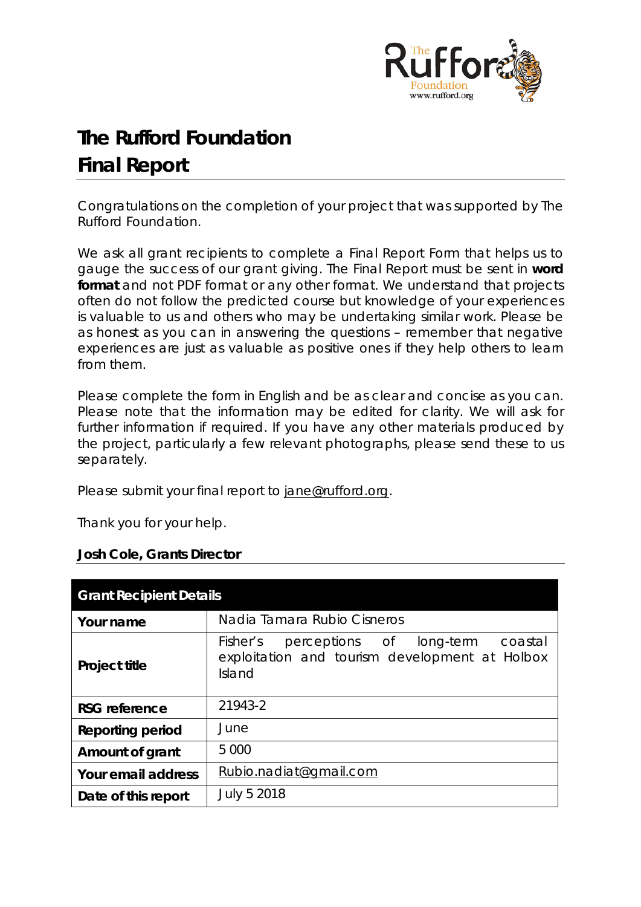

# **The Rufford Foundation Final Report**

Congratulations on the completion of your project that was supported by The Rufford Foundation.

We ask all grant recipients to complete a Final Report Form that helps us to gauge the success of our grant giving. The Final Report must be sent in **word format** and not PDF format or any other format. We understand that projects often do not follow the predicted course but knowledge of your experiences is valuable to us and others who may be undertaking similar work. Please be as honest as you can in answering the questions – remember that negative experiences are just as valuable as positive ones if they help others to learn from them.

Please complete the form in English and be as clear and concise as you can. Please note that the information may be edited for clarity. We will ask for further information if required. If you have any other materials produced by the project, particularly a few relevant photographs, please send these to us separately.

Please submit your final report to [jane@rufford.org.](mailto:jane@rufford.org)

Thank you for your help.

# **Josh Cole, Grants Director**

| <b>Grant Recipient Details</b> |                                                                                                          |  |  |  |  |  |  |  |
|--------------------------------|----------------------------------------------------------------------------------------------------------|--|--|--|--|--|--|--|
| Your name                      | Nadia Tamara Rubio Cisneros                                                                              |  |  |  |  |  |  |  |
| <b>Project title</b>           | Fisher's<br>perceptions of long-term coastal<br>exploitation and tourism development at Holbox<br>Island |  |  |  |  |  |  |  |
| <b>RSG</b> reference           | 21943-2                                                                                                  |  |  |  |  |  |  |  |
| <b>Reporting period</b>        | June                                                                                                     |  |  |  |  |  |  |  |
| Amount of grant                | 5 0 0 0                                                                                                  |  |  |  |  |  |  |  |
| Your email address             | Rubio.nadiat@gmail.com                                                                                   |  |  |  |  |  |  |  |
| Date of this report            | July 5 2018                                                                                              |  |  |  |  |  |  |  |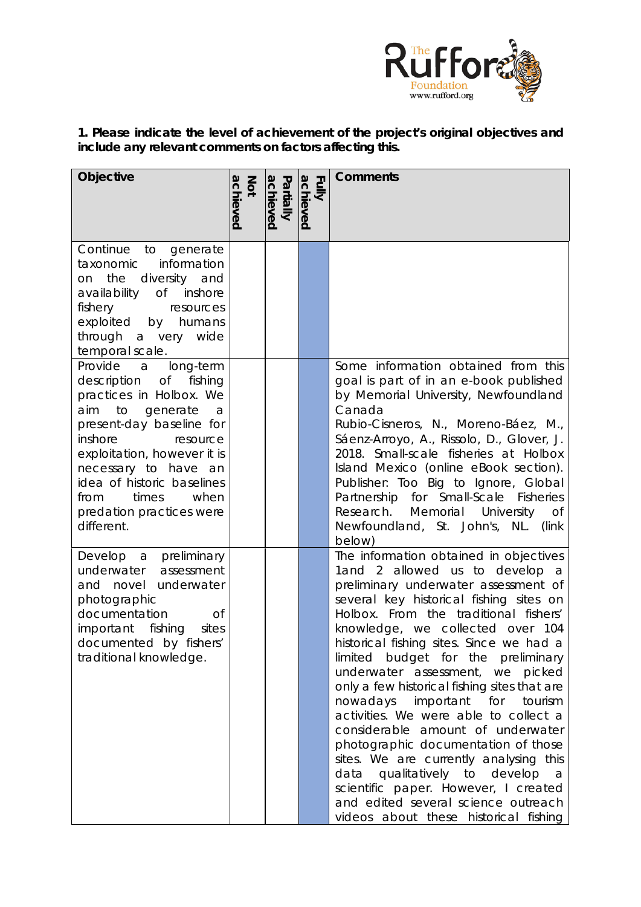

**1. Please indicate the level of achievement of the project's original objectives and include any relevant comments on factors affecting this.** 

| Objective                                                                                                                                                                                                                                                                                                         | achieved<br>Not | Partially<br>achieved | achieved<br><b>Eully</b> | <b>Comments</b>                                                                                                                                                                                                                                                                                                                                                                                                                                                                                                                                                                                                                                                                                                                                                                    |
|-------------------------------------------------------------------------------------------------------------------------------------------------------------------------------------------------------------------------------------------------------------------------------------------------------------------|-----------------|-----------------------|--------------------------|------------------------------------------------------------------------------------------------------------------------------------------------------------------------------------------------------------------------------------------------------------------------------------------------------------------------------------------------------------------------------------------------------------------------------------------------------------------------------------------------------------------------------------------------------------------------------------------------------------------------------------------------------------------------------------------------------------------------------------------------------------------------------------|
|                                                                                                                                                                                                                                                                                                                   |                 |                       |                          |                                                                                                                                                                                                                                                                                                                                                                                                                                                                                                                                                                                                                                                                                                                                                                                    |
| Continue<br>to generate<br>information<br>taxonomic<br>diversity and<br>on the<br>availability of inshore<br>fishery<br>resources<br>exploited by humans<br>a very wide<br>through<br>temporal scale.                                                                                                             |                 |                       |                          |                                                                                                                                                                                                                                                                                                                                                                                                                                                                                                                                                                                                                                                                                                                                                                                    |
| Provide a long-term<br>description of<br>fishing<br>practices in Holbox. We<br>aim to<br>generate<br>a<br>present-day baseline for<br>inshore<br>resource<br>exploitation, however it is<br>necessary to have an<br>idea of historic baselines<br>when<br>times<br>from<br>predation practices were<br>different. |                 |                       |                          | Some information obtained from this<br>goal is part of in an e-book published<br>by Memorial University, Newfoundland<br>Canada<br>Rubio-Cisneros, N., Moreno-Báez, M.,<br>Sáenz-Arroyo, A., Rissolo, D., Glover, J.<br>2018. Small-scale fisheries at Holbox<br>Island Mexico (online eBook section).<br>Publisher: Too Big to Ignore, Global<br>Partnership for Small-Scale Fisheries<br>Research.<br>Memorial University<br>Οf<br>Newfoundland, St. John's, NL. (link<br>below)                                                                                                                                                                                                                                                                                                 |
| Develop a preliminary<br>underwater<br>assessment<br>and novel underwater<br>photographic<br>documentation<br><b>of</b><br>fishing<br>important<br>sites<br>documented by fishers'<br>traditional knowledge.                                                                                                      |                 |                       |                          | The information obtained in objectives<br>1and 2 allowed us to develop a<br>preliminary underwater assessment of<br>several key historical fishing sites on<br>Holbox. From the traditional fishers'<br>knowledge, we collected over 104<br>historical fishing sites. Since we had a<br>limited budget for the preliminary<br>underwater assessment, we picked<br>only a few historical fishing sites that are<br>nowadays important for<br>tourism<br>activities. We were able to collect a<br>considerable amount of underwater<br>photographic documentation of those<br>sites. We are currently analysing this<br>data qualitatively to develop<br>a a<br>scientific paper. However, I created<br>and edited several science outreach<br>videos about these historical fishing |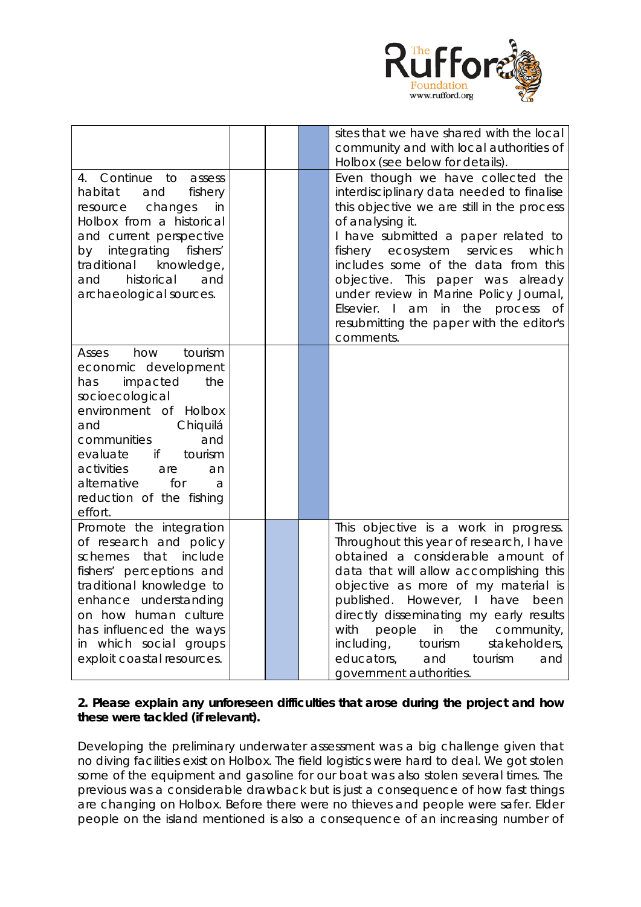

|                                                                                                                                                                                                                                                                                          |  | sites that we have shared with the local<br>community and with local authorities of<br>Holbox (see below for details).                                                                                                                                                                                                                                                                                                                                        |
|------------------------------------------------------------------------------------------------------------------------------------------------------------------------------------------------------------------------------------------------------------------------------------------|--|---------------------------------------------------------------------------------------------------------------------------------------------------------------------------------------------------------------------------------------------------------------------------------------------------------------------------------------------------------------------------------------------------------------------------------------------------------------|
| 4. Continue to<br>assess<br>fishery<br>habitat<br>and<br>changes<br>resource<br>in<br>Holbox from a historical<br>and current perspective<br>by integrating fishers'<br>traditional<br>knowledge,<br>historical<br>and<br>and<br>archaeological sources.                                 |  | Even though we have collected the<br>interdisciplinary data needed to finalise<br>this objective we are still in the process<br>of analysing it.<br>I have submitted a paper related to<br>fishery ecosystem services<br>which<br>includes some of the data from this<br>objective. This<br>paper was already<br>under review in Marine Policy Journal,<br>Elsevier. I am<br>in<br>the<br>process of<br>resubmitting the paper with the editor's<br>comments. |
| tourism<br>how<br>Asses<br>economic development<br>impacted<br>the<br>has<br>socioecological<br>environment of Holbox<br>Chiquilá<br>and<br>communities<br>and<br>tourism<br>evaluate<br>if<br>activities<br>are<br>an<br>alternative<br>for<br>a<br>reduction of the fishing<br>effort. |  |                                                                                                                                                                                                                                                                                                                                                                                                                                                               |
| Promote the integration<br>of research and policy<br>that<br>include<br>schemes<br>fishers' perceptions and<br>traditional knowledge to<br>enhance understanding<br>on how human culture<br>has influenced the ways<br>in which social groups<br>exploit coastal resources.              |  | This objective is a work in progress.<br>Throughout this year of research, I have<br>obtained a considerable amount of<br>data that will allow accomplishing this<br>objective as more of my material is<br>published. However, I have<br>been<br>directly disseminating my early results<br>with<br>people<br>the<br>community,<br>in<br>including,<br>stakeholders,<br>tourism<br>educators,<br>and<br>tourism<br>and<br>government authorities.            |

# **2. Please explain any unforeseen difficulties that arose during the project and how these were tackled (if relevant).**

Developing the preliminary underwater assessment was a big challenge given that no diving facilities exist on Holbox. The field logistics were hard to deal. We got stolen some of the equipment and gasoline for our boat was also stolen several times. The previous was a considerable drawback but is just a consequence of how fast things are changing on Holbox. Before there were no thieves and people were safer. Elder people on the island mentioned is also a consequence of an increasing number of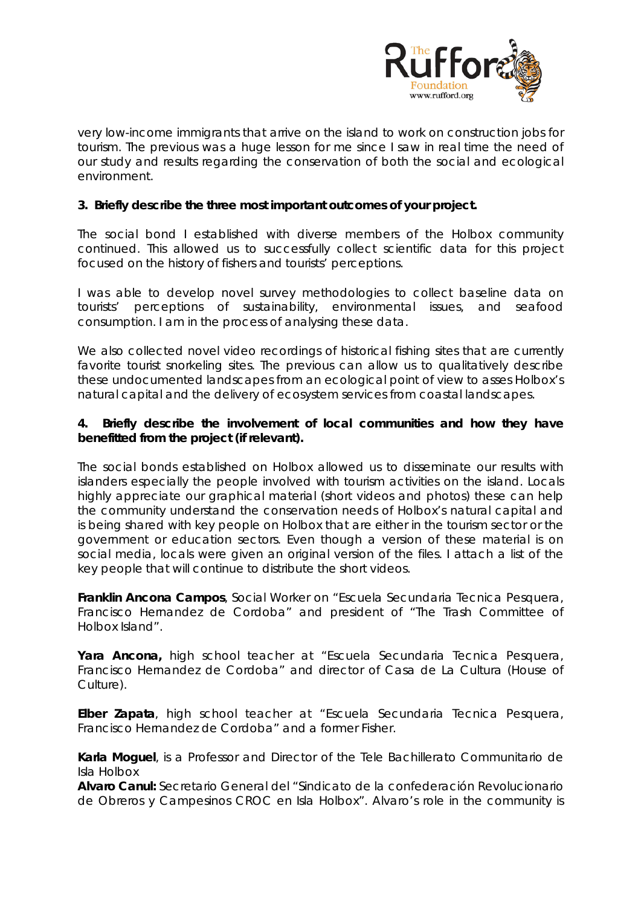

very low-income immigrants that arrive on the island to work on construction jobs for tourism. The previous was a huge lesson for me since I saw in real time the need of our study and results regarding the conservation of both the social and ecological environment.

## **3. Briefly describe the three most important outcomes of your project.**

The social bond I established with diverse members of the Holbox community continued. This allowed us to successfully collect scientific data for this project focused on the history of fishers and tourists' perceptions.

I was able to develop novel survey methodologies to collect baseline data on tourists' perceptions of sustainability, environmental issues, and seafood consumption. I am in the process of analysing these data.

We also collected novel video recordings of historical fishing sites that are currently favorite tourist snorkeling sites. The previous can allow us to qualitatively describe these undocumented landscapes from an ecological point of view to asses Holbox's natural capital and the delivery of ecosystem services from coastal landscapes.

#### **4. Briefly describe the involvement of local communities and how they have benefitted from the project (if relevant).**

The social bonds established on Holbox allowed us to disseminate our results with islanders especially the people involved with tourism activities on the island. Locals highly appreciate our graphical material (short videos and photos) these can help the community understand the conservation needs of Holbox's natural capital and is being shared with key people on Holbox that are either in the tourism sector or the government or education sectors. Even though a version of these material is on social media, locals were given an original version of the files. I attach a list of the key people that will continue to distribute the short videos.

**Franklin Ancona Campos**, Social Worker on "*Escuela Secundaria Tecnica Pesquera, Francisco Hernandez de Cordoba*" and president of *"The Trash Committee of Holbox Island".*

**Yara Ancona***,* high school teacher at "*Escuela Secundaria Tecnica Pesquera, Francisco Hernandez de Cordoba*" and director of Casa de La Cultura (House of Culture).

**Elber Zapata**, high school teacher at "*Escuela Secundaria Tecnica Pesquera, Francisco Hernandez de Cordoba*" and a former Fisher.

**Karla Moguel**, is a Professor and Director of the Tele Bachillerato Communitario de Isla Holbox

**Alvaro Canul:** Secretario General del "*Sindicato de la confederación Revolucionario de Obreros y Campesinos CROC en Isla Holbox"*. Alvaro's role in the community is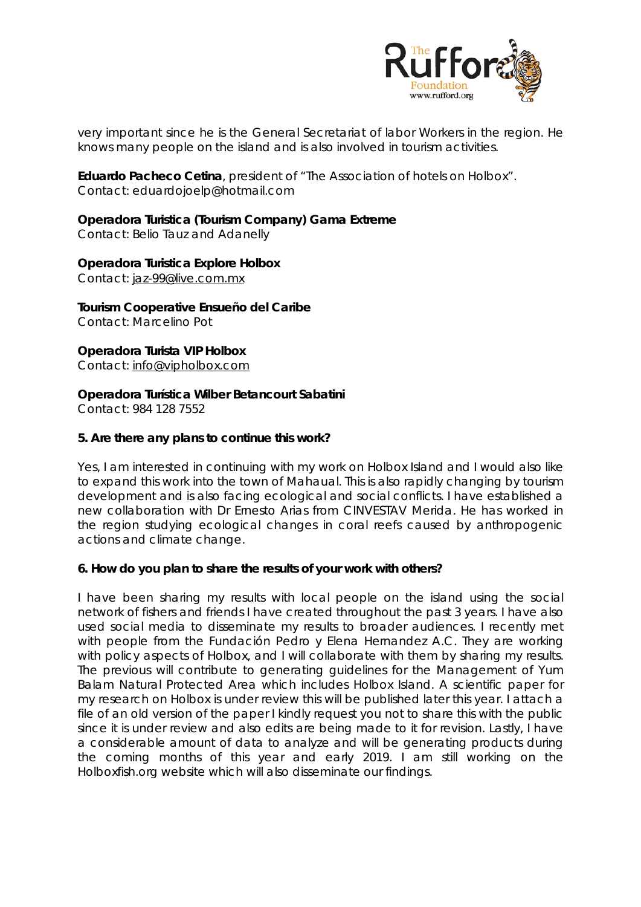

very important since he is the General Secretariat of labor Workers in the region. He knows many people on the island and is also involved in tourism activities.

**Eduardo Pacheco Cetina**, president of "The Association of hotels on Holbox". Contact: eduardojoelp@hotmail.com

**Operadora Turistica (Tourism Company) Gama Extreme**  Contact: Belio Tauz and Adanelly

**Operadora Turistica Explore Holbox** Contact: [jaz-99@live.com.mx](mailto:jaz-99@live.com.mx)

**Tourism Cooperative Ensueño del Caribe** Contact: Marcelino Pot

**Operadora Turista VIP Holbox** Contact: [info@vipholbox.com](mailto:info@vipholbox.com)

**Operadora Turística Wilber Betancourt Sabatini**

Contact: 984 128 7552

## **5. Are there any plans to continue this work?**

Yes, I am interested in continuing with my work on Holbox Island and I would also like to expand this work into the town of Mahaual. This is also rapidly changing by tourism development and is also facing ecological and social conflicts. I have established a new collaboration with Dr Ernesto Arias from CINVESTAV Merida. He has worked in the region studying ecological changes in coral reefs caused by anthropogenic actions and climate change.

#### **6. How do you plan to share the results of your work with others?**

I have been sharing my results with local people on the island using the social network of fishers and friends I have created throughout the past 3 years. I have also used social media to disseminate my results to broader audiences. I recently met with people from the Fundación Pedro y Elena Hernandez A.C. They are working with policy aspects of Holbox, and I will collaborate with them by sharing my results. The previous will contribute to generating guidelines for the Management of Yum Balam Natural Protected Area which includes Holbox Island. A scientific paper for my research on Holbox is under review this will be published later this year. I attach a file of an old version of the paper I kindly request you not to share this with the public since it is under review and also edits are being made to it for revision. Lastly, I have a considerable amount of data to analyze and will be generating products during the coming months of this year and early 2019. I am still working on the Holboxfish.org website which will also disseminate our findings.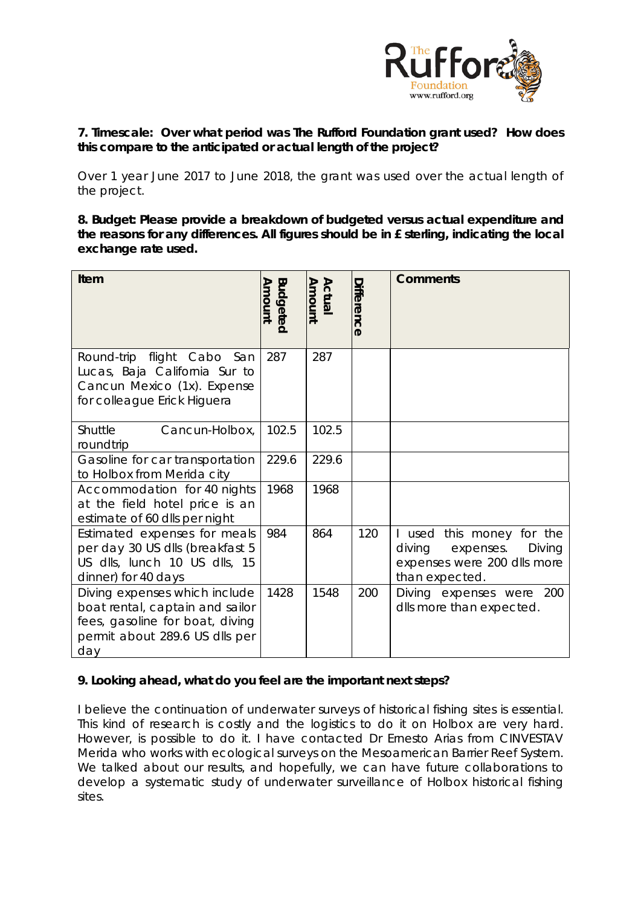

## **7. Timescale: Over what period was The Rufford Foundation grant used? How does this compare to the anticipated or actual length of the project?**

Over 1 year June 2017 to June 2018, the grant was used over the actual length of the project.

**8. Budget: Please provide a breakdown of budgeted versus actual expenditure and the reasons for any differences. All figures should be in £ sterling, indicating the local exchange rate used.** 

| Item                                                                                                                                         | <b>Budgeted</b><br>Amount | Amount<br>Actual | Difference | <b>Comments</b>                                                                                             |
|----------------------------------------------------------------------------------------------------------------------------------------------|---------------------------|------------------|------------|-------------------------------------------------------------------------------------------------------------|
| Round-trip flight Cabo San<br>Lucas, Baja California Sur to<br>Cancun Mexico (1x). Expense<br>for colleague Erick Higuera                    | 287                       | 287              |            |                                                                                                             |
| <b>Shuttle</b><br>Cancun-Holbox,<br>roundtrip                                                                                                | 102.5                     | 102.5            |            |                                                                                                             |
| Gasoline for car transportation<br>to Holbox from Merida city                                                                                | 229.6                     | 229.6            |            |                                                                                                             |
| Accommodation for 40 nights<br>at the field hotel price is an<br>estimate of 60 dlls per night                                               | 1968                      | 1968             |            |                                                                                                             |
| Estimated expenses for meals<br>per day 30 US dlls (breakfast 5<br>US dlls, lunch 10 US dlls, 15<br>dinner) for 40 days                      | 984                       | 864              | 120        | I used this money for the<br>diving<br>expenses.<br>Diving<br>expenses were 200 dlls more<br>than expected. |
| Diving expenses which include<br>boat rental, captain and sailor<br>fees, gasoline for boat, diving<br>permit about 289.6 US dlls per<br>day | 1428                      | 1548             | 200        | Diving expenses were 200<br>dlls more than expected.                                                        |

# **9. Looking ahead, what do you feel are the important next steps?**

I believe the continuation of underwater surveys of historical fishing sites is essential. This kind of research is costly and the logistics to do it on Holbox are very hard. However, is possible to do it. I have contacted Dr Ernesto Arias from CINVESTAV Merida who works with ecological surveys on the Mesoamerican Barrier Reef System. We talked about our results, and hopefully, we can have future collaborations to develop a systematic study of underwater surveillance of Holbox historical fishing sites.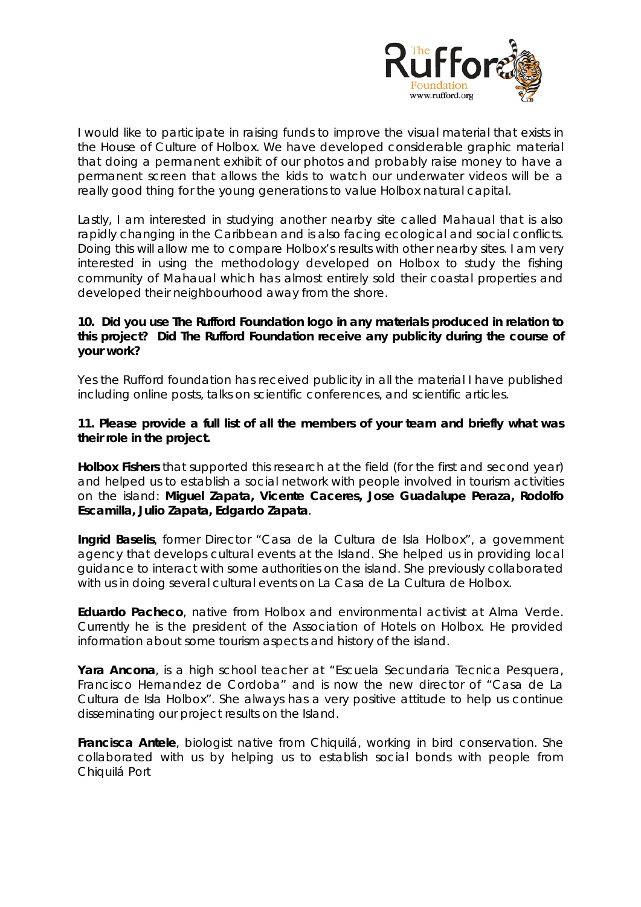

I would like to participate in raising funds to improve the visual material that exists in the House of Culture of Holbox. We have developed considerable graphic material that doing a permanent exhibit of our photos and probably raise money to have a permanent screen that allows the kids to watch our underwater videos will be a really good thing for the young generations to value Holbox natural capital.

Lastly, I am interested in studying another nearby site called Mahaual that is also rapidly changing in the Caribbean and is also facing ecological and social conflicts. Doing this will allow me to compare Holbox's results with other nearby sites. I am very interested in using the methodology developed on Holbox to study the fishing community of Mahaual which has almost entirely sold their coastal properties and developed their neighbourhood away from the shore.

## **10. Did you use The Rufford Foundation logo in any materials produced in relation to this project? Did The Rufford Foundation receive any publicity during the course of your work?**

Yes the Rufford foundation has received publicity in all the material I have published including online posts, talks on scientific conferences, and scientific articles.

## **11. Please provide a full list of all the members of your team and briefly what was their role in the project.**

**Holbox Fishers** that supported this research at the field (for the first and second year) and helped us to establish a social network with people involved in tourism activities on the island: **Miguel Zapata, Vicente Caceres, Jose Guadalupe Peraza, Rodolfo Escamilla, Julio Zapata, Edgardo Zapata**.

**Ingrid Baselis**, former Director "Casa de la Cultura de Isla Holbox", a government agency that develops cultural events at the Island. She helped us in providing local guidance to interact with some authorities on the island. She previously collaborated with us in doing several cultural events on La Casa de La Cultura de Holbox.

**Eduardo Pacheco**, native from Holbox and environmental activist at Alma Verde. Currently he is the president of the Association of Hotels on Holbox. He provided information about some tourism aspects and history of the island.

**Yara Ancona***, is a* high school teacher at "*Escuela Secundaria Tecnica Pesquera, Francisco Hernandez de Cordoba*" and is now the new director of "*Casa de La Cultura de Isla Holbox*". She always has a very positive attitude to help us continue disseminating our project results on the Island.

**Francisca Antele**, biologist native from Chiquilá, working in bird conservation. She collaborated with us by helping us to establish social bonds with people from Chiquilá Port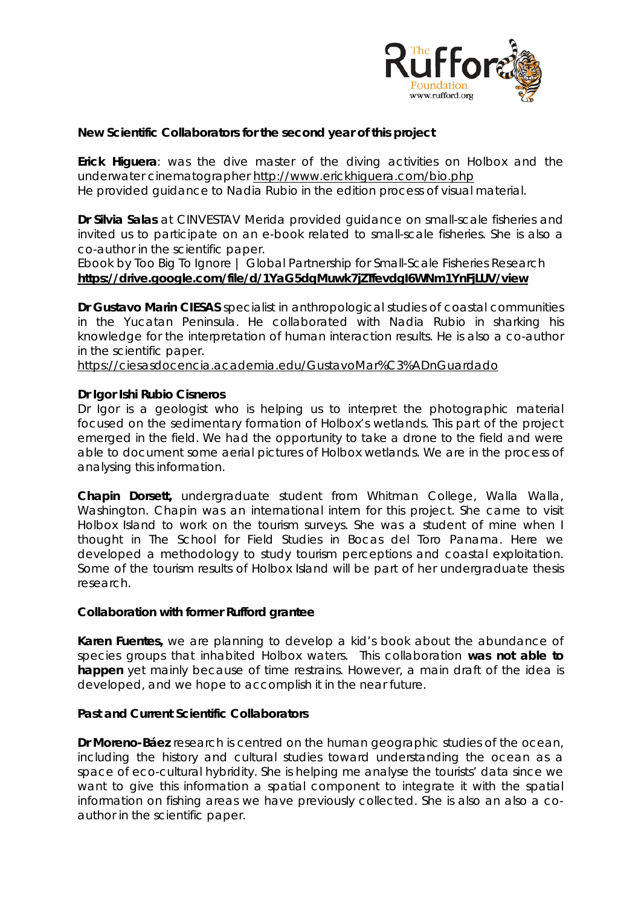

## **New Scientific Collaborators for the second year of this project**

**Erick Higuera**: was the dive master of the diving activities on Holbox and the underwater cinematographer <http://www.erickhiguera.com/bio.php> He provided guidance to Nadia Rubio in the edition process of visual material.

**Dr Silvia Salas** at CINVESTAV Merida provided guidance on small-scale fisheries and invited us to participate on an e-book related to small-scale fisheries. She is also a co-author in the scientific paper.

Ebook by Too Big To Ignore | Global Partnership for Small-Scale Fisheries Research **<https://drive.google.com/file/d/1YaG5dqMuwk7jZTfevdgI6WNm1YnFjLUV/view>**

**Dr Gustavo Marin CIESAS** specialist in anthropological studies of coastal communities in the Yucatan Peninsula. He collaborated with Nadia Rubio in sharking his knowledge for the interpretation of human interaction results. He is also a co-author in the scientific paper.

<https://ciesasdocencia.academia.edu/GustavoMar%C3%ADnGuardado>

#### **Dr Igor Ishi Rubio Cisneros**

Dr Igor is a geologist who is helping us to interpret the photographic material focused on the sedimentary formation of Holbox's wetlands. This part of the project emerged in the field. We had the opportunity to take a drone to the field and were able to document some aerial pictures of Holbox wetlands. We are in the process of analysing this information.

**Chapin Dorsett,** undergraduate student from Whitman College, Walla Walla, Washington. Chapin was an international intern for this project. She came to visit Holbox Island to work on the tourism surveys. She was a student of mine when I thought in The School for Field Studies in Bocas del Toro Panama. Here we developed a methodology to study tourism perceptions and coastal exploitation. Some of the tourism results of Holbox Island will be part of her undergraduate thesis research.

#### **Collaboration with former Rufford grantee**

**Karen Fuentes,** we are planning to develop a kid's book about the abundance of species groups that inhabited Holbox waters. This collaboration **was not able to happen** yet mainly because of time restrains. However, a main draft of the idea is developed, and we hope to accomplish it in the near future.

#### **Past and Current Scientific Collaborators**

**Dr Moreno-Báez** research is centred on the human geographic studies of the ocean, including the history and cultural studies toward understanding the ocean as a space of eco-cultural hybridity. She is helping me analyse the tourists' data since we want to give this information a spatial component to integrate it with the spatial information on fishing areas we have previously collected. She is also an also a coauthor in the scientific paper.